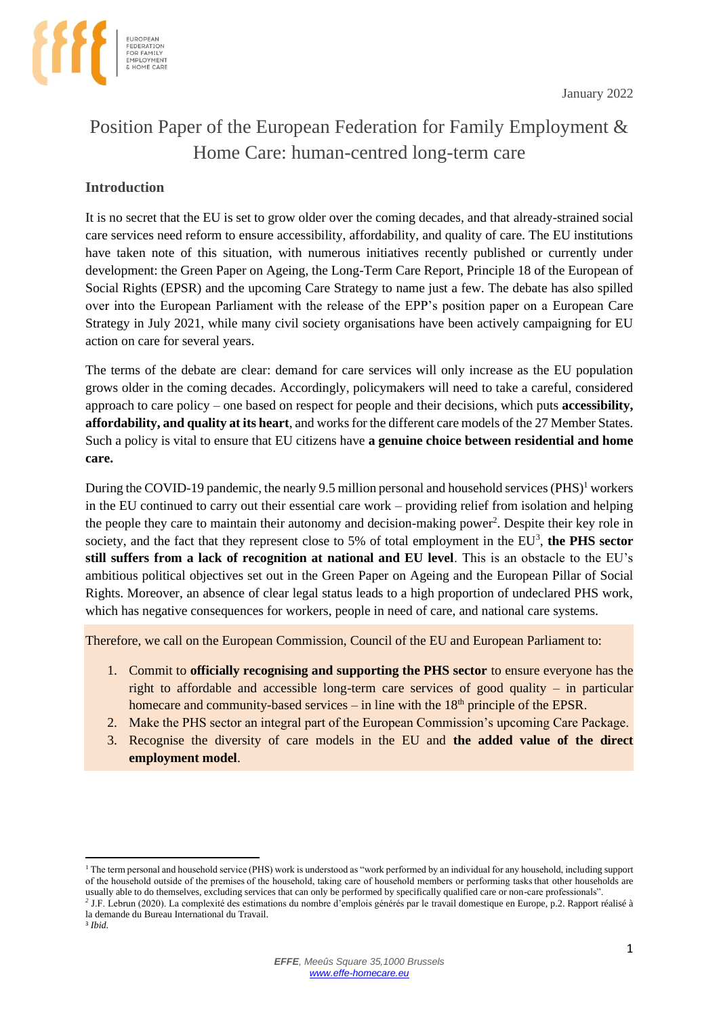

# Position Paper of the European Federation for Family Employment & Home Care: human-centred long-term care

# **Introduction**

It is no secret that the EU is set to grow older over the coming decades, and that already-strained social care services need reform to ensure accessibility, affordability, and quality of care. The EU institutions have taken note of this situation, with numerous initiatives recently published or currently under development: the Green Paper on Ageing, the Long-Term Care Report, Principle 18 of the European of Social Rights (EPSR) and the upcoming Care Strategy to name just a few. The debate has also spilled over into the European Parliament with the release of the EPP's position paper on a European Care Strategy in July 2021, while many civil society organisations have been actively campaigning for EU action on care for several years.

The terms of the debate are clear: demand for care services will only increase as the EU population grows older in the coming decades. Accordingly, policymakers will need to take a careful, considered approach to care policy – one based on respect for people and their decisions, which puts **accessibility, affordability, and quality at its heart**, and works for the different care models of the 27 Member States. Such a policy is vital to ensure that EU citizens have **a genuine choice between residential and home care.**

During the COVID-19 pandemic, the nearly 9.5 million personal and household services (PHS)<sup>1</sup> workers in the EU continued to carry out their essential care work – providing relief from isolation and helping the people they care to maintain their autonomy and decision-making power<sup>2</sup>. Despite their key role in society, and the fact that they represent close to 5% of total employment in the  $EU^3$ , the PHS sector **still suffers from a lack of recognition at national and EU level**. This is an obstacle to the EU's ambitious political objectives set out in the Green Paper on Ageing and the European Pillar of Social Rights. Moreover, an absence of clear legal status leads to a high proportion of undeclared PHS work, which has negative consequences for workers, people in need of care, and national care systems.

Therefore, we call on the European Commission, Council of the EU and European Parliament to:

- 1. Commit to **officially recognising and supporting the PHS sector** to ensure everyone has the right to affordable and accessible long-term care services of good quality – in particular homecare and community-based services – in line with the  $18<sup>th</sup>$  principle of the EPSR.
- 2. Make the PHS sector an integral part of the European Commission's upcoming Care Package.
- 3. Recognise the diversity of care models in the EU and **the added value of the direct employment model**.

3 *Ibid.*

<sup>&</sup>lt;sup>1</sup> The term personal and household service (PHS) work is understood as "work performed by an individual for any household, including support of the household outside of the premises of the household, taking care of household members or performing tasks that other households are usually able to do themselves, excluding services that can only be performed by specifically qualified care or non-care professionals".

*<sup>2</sup>* J.F. Lebrun (2020). La complexité des estimations du nombre d'emplois générés par le travail domestique en Europe, p.2. Rapport réalisé à la demande du Bureau International du Travail*.*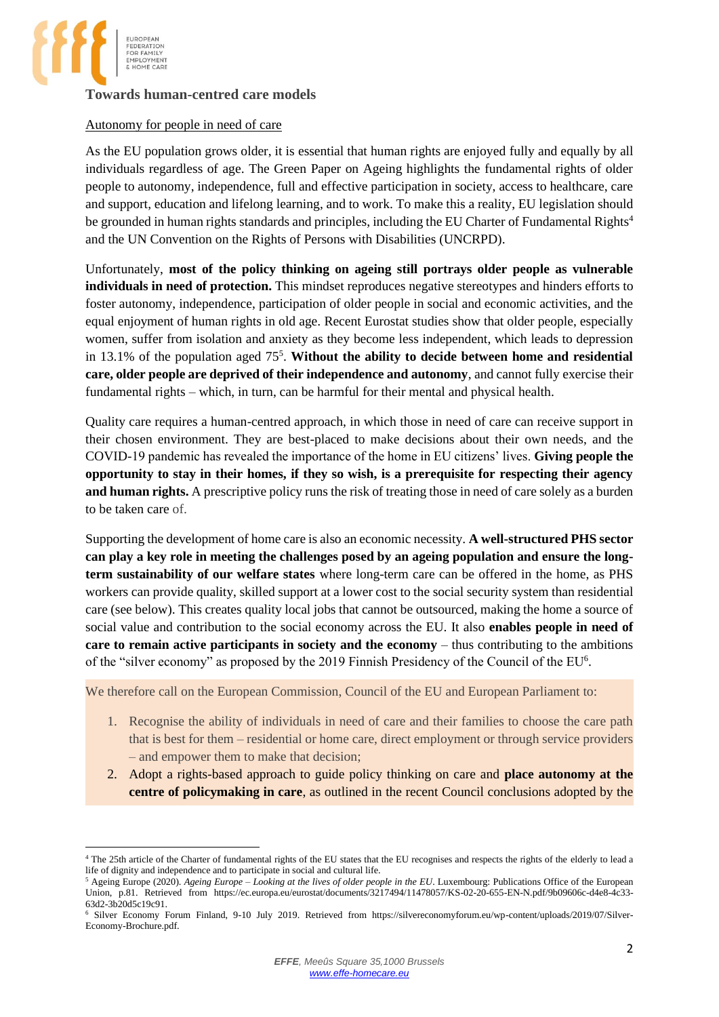

# **Towards human-centred care models**

#### Autonomy for people in need of care

As the EU population grows older, it is essential that human rights are enjoyed fully and equally by all individuals regardless of age. The Green Paper on Ageing highlights the fundamental rights of older people to autonomy, independence, full and effective participation in society, access to healthcare, care and support, education and lifelong learning, and to work. To make this a reality, EU legislation should be grounded in human rights standards and principles, including the EU Charter of Fundamental Rights<sup>4</sup> and the UN Convention on the Rights of Persons with Disabilities (UNCRPD).

Unfortunately, **most of the policy thinking on ageing still portrays older people as vulnerable individuals in need of protection.** This mindset reproduces negative stereotypes and hinders efforts to foster autonomy, independence, participation of older people in social and economic activities, and the equal enjoyment of human rights in old age. Recent Eurostat studies show that older people, especially women, suffer from isolation and anxiety as they become less independent, which leads to depression in  $13.1\%$  of the population aged  $75<sup>5</sup>$ . Without the ability to decide between home and residential **care, older people are deprived of their independence and autonomy**, and cannot fully exercise their fundamental rights – which, in turn, can be harmful for their mental and physical health.

Quality care requires a human-centred approach, in which those in need of care can receive support in their chosen environment. They are best-placed to make decisions about their own needs, and the COVID-19 pandemic has revealed the importance of the home in EU citizens' lives. **Giving people the opportunity to stay in their homes, if they so wish, is a prerequisite for respecting their agency and human rights.** A prescriptive policy runs the risk of treating those in need of care solely as a burden to be taken care of.

Supporting the development of home care is also an economic necessity. **A well-structured PHS sector can play a key role in meeting the challenges posed by an ageing population and ensure the longterm sustainability of our welfare states** where long-term care can be offered in the home, as PHS workers can provide quality, skilled support at a lower cost to the social security system than residential care (see below). This creates quality local jobs that cannot be outsourced, making the home a source of social value and contribution to the social economy across the EU. It also **enables people in need of care to remain active participants in society and the economy** – thus contributing to the ambitions of the "silver economy" as proposed by the 2019 Finnish Presidency of the Council of the EU<sup>6</sup>.

We therefore call on the European Commission, Council of the EU and European Parliament to:

- 1. Recognise the ability of individuals in need of care and their families to choose the care path that is best for them – residential or home care, direct employment or through service providers – and empower them to make that decision;
- 2. Adopt a rights-based approach to guide policy thinking on care and **place autonomy at the centre of policymaking in care**, as outlined in the recent Council conclusions adopted by the

<sup>&</sup>lt;sup>4</sup> The 25th article of the Charter of fundamental rights of the EU states that the EU recognises and respects the rights of the elderly to lead a life of dignity and independence and to participate in social and cultural life.

<sup>5</sup> Ageing Europe (2020). *Ageing Europe – Looking at the lives of older people in the EU*. Luxembourg: Publications Office of the European Union, p.81. Retrieved from https://ec.europa.eu/eurostat/documents/3217494/11478057/KS-02-20-655-EN-N.pdf/9b09606c-d4e8-4c33-63d2-3b20d5c19c91.

<sup>6</sup> Silver Economy Forum Finland, 9-10 July 2019. Retrieved from https://silvereconomyforum.eu/wp-content/uploads/2019/07/Silver-Economy-Brochure.pdf.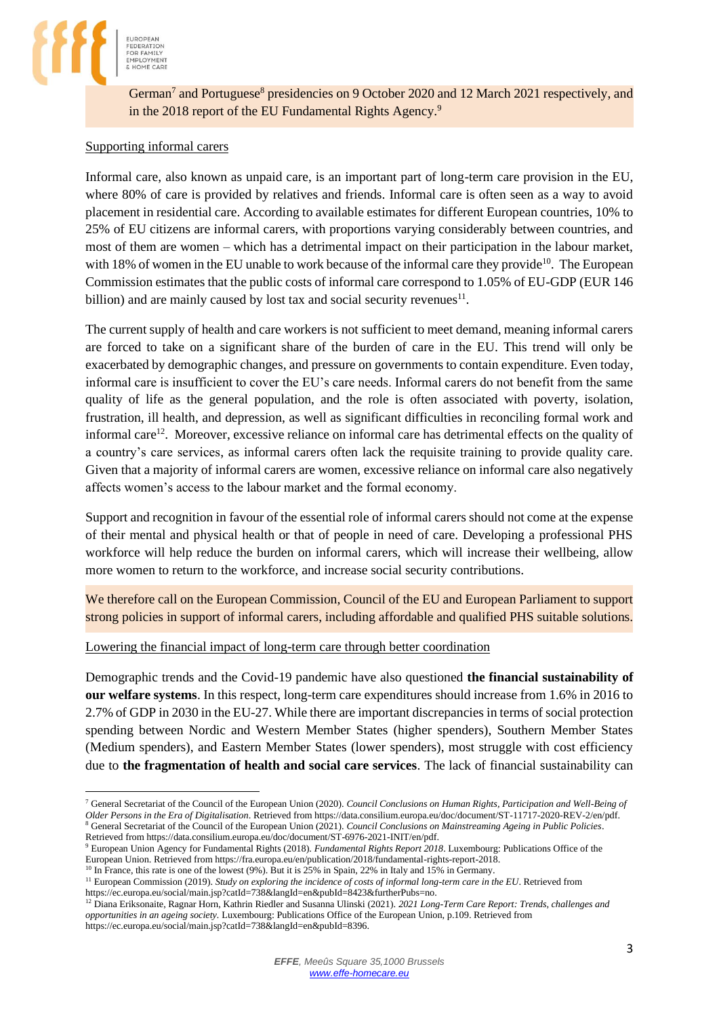

German<sup>7</sup> and Portuguese<sup>8</sup> presidencies on 9 October 2020 and 12 March 2021 respectively, and in the 2018 report of the EU Fundamental Rights Agency.<sup>9</sup>

#### Supporting informal carers

**EDERATION** 

Informal care, also known as unpaid care, is an important part of long-term care provision in the EU, where 80% of care is provided by relatives and friends. Informal care is often seen as a way to avoid placement in residential care. According to available estimates for different European countries, 10% to 25% of EU citizens are informal carers, with proportions varying considerably between countries, and most of them are women – which has a detrimental impact on their participation in the labour market, with 18% of women in the EU unable to work because of the informal care they provide<sup>10</sup>. The European Commission estimates that the public costs of informal care correspond to 1.05% of EU-GDP (EUR 146 billion) and are mainly caused by lost tax and social security revenues $11$ .

The current supply of health and care workers is not sufficient to meet demand, meaning informal carers are forced to take on a significant share of the burden of care in the EU. This trend will only be exacerbated by demographic changes, and pressure on governments to contain expenditure. Even today, informal care is insufficient to cover the EU's care needs. Informal carers do not benefit from the same quality of life as the general population, and the role is often associated with poverty, isolation, frustration, ill health, and depression, as well as significant difficulties in reconciling formal work and informal care<sup>12</sup>. Moreover, excessive reliance on informal care has detrimental effects on the quality of a country's care services, as informal carers often lack the requisite training to provide quality care. Given that a majority of informal carers are women, excessive reliance on informal care also negatively affects women's access to the labour market and the formal economy.

Support and recognition in favour of the essential role of informal carers should not come at the expense of their mental and physical health or that of people in need of care. Developing a professional PHS workforce will help reduce the burden on informal carers, which will increase their wellbeing, allow more women to return to the workforce, and increase social security contributions.

We therefore call on the European Commission, Council of the EU and European Parliament to support strong policies in support of informal carers, including affordable and qualified PHS suitable solutions.

#### Lowering the financial impact of long-term care through better coordination

Demographic trends and the Covid-19 pandemic have also questioned **the financial sustainability of our welfare systems**. In this respect, long-term care expenditures should increase from 1.6% in 2016 to 2.7% of GDP in 2030 in the EU-27. While there are important discrepancies in terms of social protection spending between Nordic and Western Member States (higher spenders), Southern Member States (Medium spenders), and Eastern Member States (lower spenders), most struggle with cost efficiency due to **the fragmentation of health and social care services**. The lack of financial sustainability can

European Union. Retrieved from https://fra.europa.eu/en/publication/2018/fundamental-rights-report-2018. <sup>10</sup> In France, this rate is one of the lowest (9%). But it is 25% in Spain, 22% in Italy and 15% in Germany.

<sup>7</sup> General Secretariat of the Council of the European Union (2020). *Council Conclusions on Human Rights, Participation and Well-Being of Older Persons in the Era of Digitalisation*. Retrieved from https://data.consilium.europa.eu/doc/document/ST-11717-2020-REV-2/en/pdf. <sup>8</sup> General Secretariat of the Council of the European Union (2021). *Council Conclusions on Mainstreaming Ageing in Public Policies*. Retrieved from https://data.consilium.europa.eu/doc/document/ST-6976-2021-INIT/en/pdf.

<sup>9</sup> European Union Agency for Fundamental Rights (2018). *Fundamental Rights Report 2018*. Luxembourg: Publications Office of the

<sup>&</sup>lt;sup>11</sup> European Commission (2019). *Study on exploring the incidence of costs of informal long-term care in the EU*. Retrieved from https://ec.europa.eu/social/main.jsp?catId=738&langId=en&pubId=8423&furtherPubs=no.

<sup>12</sup> Diana Eriksonaite, Ragnar Horn, Kathrin Riedler and Susanna Ulinski (2021). *2021 Long-Term Care Report: Trends, challenges and opportunities in an ageing society.* Luxembourg: Publications Office of the European Union, p.109. Retrieved from https://ec.europa.eu/social/main.jsp?catId=738&langId=en&pubId=8396.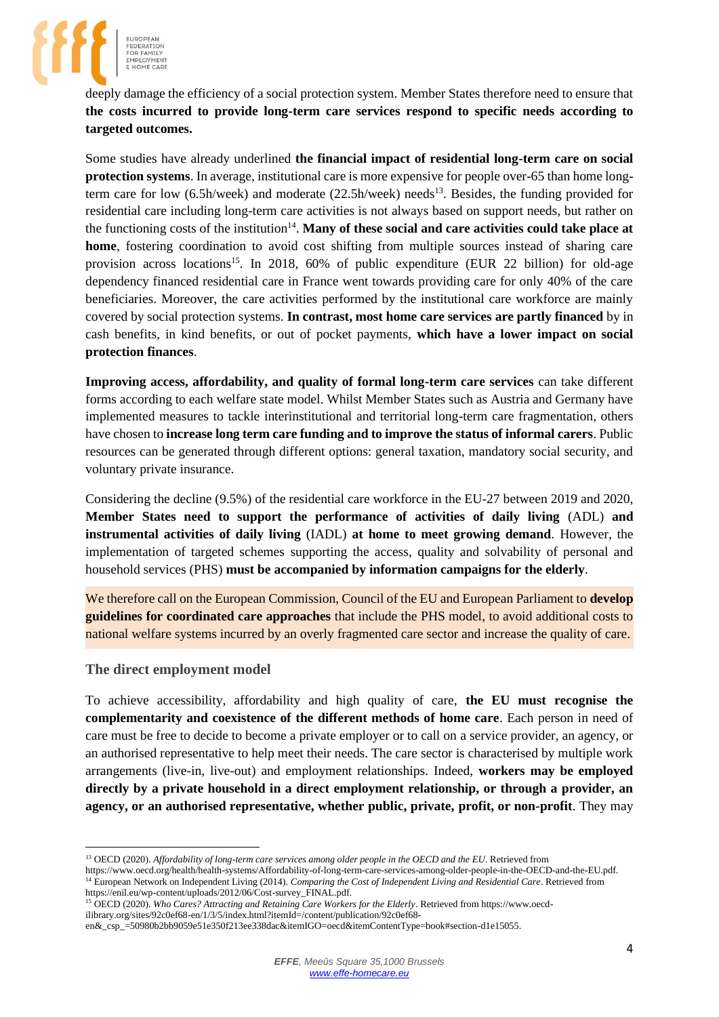

deeply damage the efficiency of a social protection system. Member States therefore need to ensure that **the costs incurred to provide long-term care services respond to specific needs according to targeted outcomes.**

Some studies have already underlined **the financial impact of residential long-term care on social protection systems**. In average, institutional care is more expensive for people over-65 than home longterm care for low  $(6.5h/week)$  and moderate  $(22.5h/week)$  needs<sup>13</sup>. Besides, the funding provided for residential care including long-term care activities is not always based on support needs, but rather on the functioning costs of the institution<sup>14</sup>. Many of these social and care activities could take place at **home**, fostering coordination to avoid cost shifting from multiple sources instead of sharing care provision across locations<sup>15</sup>. In 2018, 60% of public expenditure (EUR 22 billion) for old-age dependency financed residential care in France went towards providing care for only 40% of the care beneficiaries. Moreover, the care activities performed by the institutional care workforce are mainly covered by social protection systems. **In contrast, most home care services are partly financed** by in cash benefits, in kind benefits, or out of pocket payments, **which have a lower impact on social protection finances**.

**Improving access, affordability, and quality of formal long-term care services** can take different forms according to each welfare state model. Whilst Member States such as Austria and Germany have implemented measures to tackle interinstitutional and territorial long-term care fragmentation, others have chosen to **increase long term care funding and to improve the status of informal carers**. Public resources can be generated through different options: general taxation, mandatory social security, and voluntary private insurance.

Considering the decline (9.5%) of the residential care workforce in the EU-27 between 2019 and 2020, **Member States need to support the performance of activities of daily living** (ADL) **and instrumental activities of daily living** (IADL) **at home to meet growing demand**. However, the implementation of targeted schemes supporting the access, quality and solvability of personal and household services (PHS) **must be accompanied by information campaigns for the elderly**.

We therefore call on the European Commission, Council of the EU and European Parliament to **develop guidelines for coordinated care approaches** that include the PHS model, to avoid additional costs to national welfare systems incurred by an overly fragmented care sector and increase the quality of care.

## **The direct employment model**

To achieve accessibility, affordability and high quality of care, **the EU must recognise the complementarity and coexistence of the different methods of home care**. Each person in need of care must be free to decide to become a private employer or to call on a service provider, an agency, or an authorised representative to help meet their needs. The care sector is characterised by multiple work arrangements (live-in, live-out) and employment relationships. Indeed, **workers may be employed directly by a private household in a direct employment relationship, or through a provider, an agency, or an authorised representative, whether public, private, profit, or non-profit**. They may

https://www.oecd.org/health/health-systems/Affordability-of-long-term-care-services-among-older-people-in-the-OECD-and-the-EU.pdf. <sup>14</sup> European Network on Independent Living (2014). *Comparing the Cost of Independent Living and Residential Care*. Retrieved from https://enil.eu/wp-content/uploads/2012/06/Cost-survey\_FINAL.pdf.

<sup>13</sup> OECD (2020). *Affordability of long-term care services among older people in the OECD and the EU*. Retrieved from

<sup>15</sup> OECD (2020). *Who Cares? Attracting and Retaining Care Workers for the Elderly*. Retrieved from https://www.oecdilibrary.org/sites/92c0ef68-en/1/3/5/index.html?itemId=/content/publication/92c0ef68-

en&\_csp\_=50980b2bb9059e51e350f213ee338dac&itemIGO=oecd&itemContentType=book#section-d1e15055.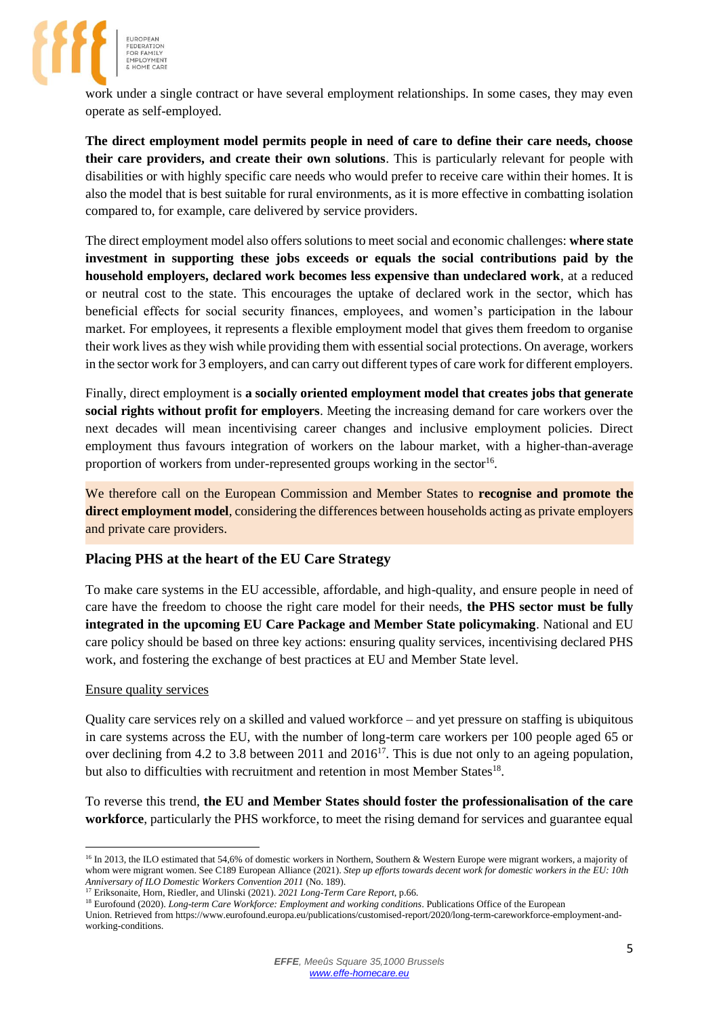

work under a single contract or have several employment relationships. In some cases, they may even operate as self-employed.

**The direct employment model permits people in need of care to define their care needs, choose their care providers, and create their own solutions**. This is particularly relevant for people with disabilities or with highly specific care needs who would prefer to receive care within their homes. It is also the model that is best suitable for rural environments, as it is more effective in combatting isolation compared to, for example, care delivered by service providers.

The direct employment model also offers solutions to meet social and economic challenges: **where state investment in supporting these jobs exceeds or equals the social contributions paid by the household employers, declared work becomes less expensive than undeclared work**, at a reduced or neutral cost to the state. This encourages the uptake of declared work in the sector, which has beneficial effects for social security finances, employees, and women's participation in the labour market. For employees, it represents a flexible employment model that gives them freedom to organise their work lives as they wish while providing them with essential social protections. On average, workers in the sector work for 3 employers, and can carry out different types of care work for different employers.

Finally, direct employment is **a socially oriented employment model that creates jobs that generate social rights without profit for employers**. Meeting the increasing demand for care workers over the next decades will mean incentivising career changes and inclusive employment policies. Direct employment thus favours integration of workers on the labour market, with a higher-than-average proportion of workers from under-represented groups working in the sector<sup>16</sup>.

We therefore call on the European Commission and Member States to **recognise and promote the direct employment model**, considering the differences between households acting as private employers and private care providers.

## **Placing PHS at the heart of the EU Care Strategy**

To make care systems in the EU accessible, affordable, and high-quality, and ensure people in need of care have the freedom to choose the right care model for their needs, **the PHS sector must be fully integrated in the upcoming EU Care Package and Member State policymaking**. National and EU care policy should be based on three key actions: ensuring quality services, incentivising declared PHS work, and fostering the exchange of best practices at EU and Member State level.

#### Ensure quality services

Quality care services rely on a skilled and valued workforce – and yet pressure on staffing is ubiquitous in care systems across the EU, with the number of long-term care workers per 100 people aged 65 or over declining from 4.2 to 3.8 between 2011 and 2016<sup>17</sup>. This is due not only to an ageing population, but also to difficulties with recruitment and retention in most Member States<sup>18</sup>.

To reverse this trend, **the EU and Member States should foster the professionalisation of the care workforce**, particularly the PHS workforce, to meet the rising demand for services and guarantee equal

<sup>&</sup>lt;sup>16</sup> In 2013, the ILO estimated that 54,6% of domestic workers in Northern, Southern & Western Europe were migrant workers, a majority of whom were migrant women. See C189 European Alliance (2021). *Step up efforts towards decent work for domestic workers in the EU: 10th Anniversary of ILO Domestic Workers Convention 2011* (No. 189).

<sup>17</sup> Eriksonaite, Horn, Riedler, and Ulinski (2021). *2021 Long-Term Care Report*, p.66.

<sup>&</sup>lt;sup>18</sup> Eurofound (2020). *Long-term Care Workforce: Employment and working conditions*. Publications Office of the European Union. Retrieved from https://www.eurofound.europa.eu/publications/customised-report/2020/long-term-careworkforce-employment-andworking-conditions.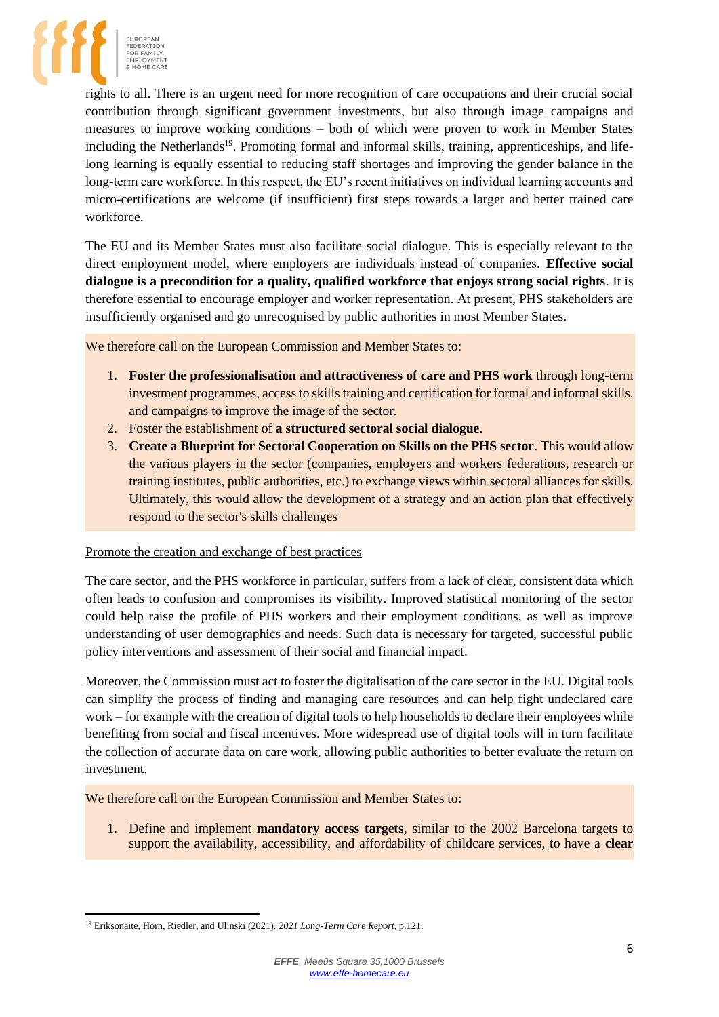

rights to all. There is an urgent need for more recognition of care occupations and their crucial social contribution through significant government investments, but also through image campaigns and measures to improve working conditions – both of which were proven to work in Member States including the Netherlands<sup>19</sup>. Promoting formal and informal skills, training, apprenticeships, and lifelong learning is equally essential to reducing staff shortages and improving the gender balance in the long-term care workforce. In this respect, the EU's recent initiatives on individual learning accounts and micro-certifications are welcome (if insufficient) first steps towards a larger and better trained care workforce.

The EU and its Member States must also facilitate social dialogue. This is especially relevant to the direct employment model, where employers are individuals instead of companies. **Effective social dialogue is a precondition for a quality, qualified workforce that enjoys strong social rights**. It is therefore essential to encourage employer and worker representation. At present, PHS stakeholders are insufficiently organised and go unrecognised by public authorities in most Member States.

We therefore call on the European Commission and Member States to:

- 1. **Foster the professionalisation and attractiveness of care and PHS work** through long-term investment programmes, access to skills training and certification for formal and informal skills, and campaigns to improve the image of the sector.
- 2. Foster the establishment of **a structured sectoral social dialogue**.
- 3. **Create a Blueprint for Sectoral Cooperation on Skills on the PHS sector**. This would allow the various players in the sector (companies, employers and workers federations, research or training institutes, public authorities, etc.) to exchange views within sectoral alliances for skills. Ultimately, this would allow the development of a strategy and an action plan that effectively respond to the sector's skills challenges

## Promote the creation and exchange of best practices

The care sector, and the PHS workforce in particular, suffers from a lack of clear, consistent data which often leads to confusion and compromises its visibility. Improved statistical monitoring of the sector could help raise the profile of PHS workers and their employment conditions, as well as improve understanding of user demographics and needs. Such data is necessary for targeted, successful public policy interventions and assessment of their social and financial impact.

Moreover, the Commission must act to foster the digitalisation of the care sector in the EU. Digital tools can simplify the process of finding and managing care resources and can help fight undeclared care work – for example with the creation of digital tools to help households to declare their employees while benefiting from social and fiscal incentives. More widespread use of digital tools will in turn facilitate the collection of accurate data on care work, allowing public authorities to better evaluate the return on investment.

We therefore call on the European Commission and Member States to:

1. Define and implement **mandatory access targets**, similar to the 2002 Barcelona targets to support the availability, accessibility, and affordability of childcare services, to have a **clear** 

<sup>19</sup> Eriksonaite, Horn, Riedler, and Ulinski (2021). *2021 Long-Term Care Report*, p.121.